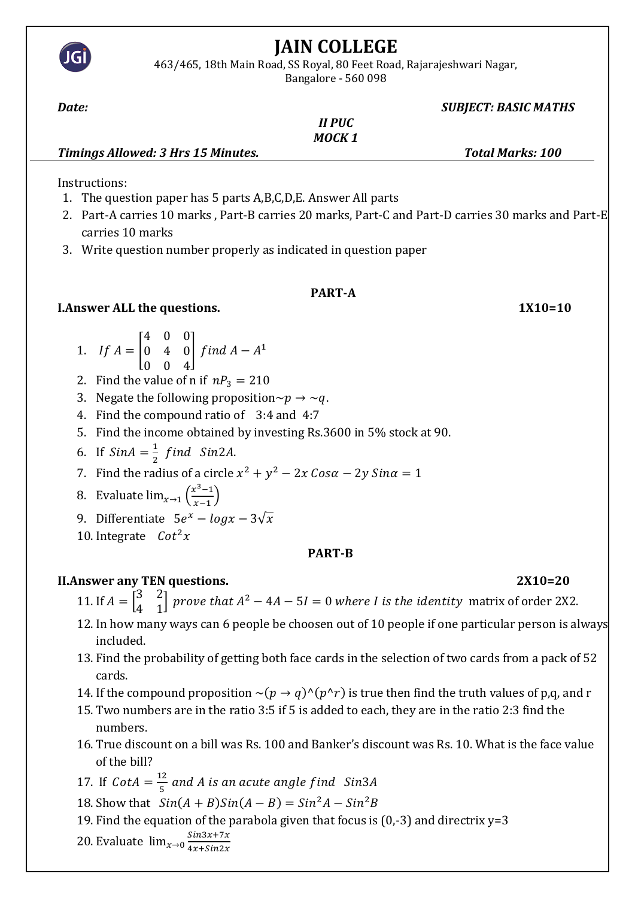

# **JAIN COLLEGE**

463/465, 18th Main Road, SS Royal, 80 Feet Road, Rajarajeshwari Nagar, Bangalore - 560 098

## *Date: SUBJECT: BASIC MATHS*

|                                    | <b>II PUC</b> |                         |
|------------------------------------|---------------|-------------------------|
|                                    | MOCK 1        |                         |
| Timings Allowed: 3 Hrs 15 Minutes. |               | <b>Total Marks: 100</b> |

Instructions:

- 1. The question paper has 5 parts A,B,C,D,E. Answer All parts
- 2. Part-A carries 10 marks , Part-B carries 20 marks, Part-C and Part-D carries 30 marks and Part-E carries 10 marks
- 3. Write question number properly as indicated in question paper

## **PART-A**

## **I.Answer ALL the questions.** 1X10=10

- 1. If  $A =$ 4 0 0 0 4 0 0 0 4  $\int$  find  $A - A^1$
- 2. Find the value of n if  $nP_3 = 210$
- 3. Negate the following proposition $\sim p \rightarrow \sim q$ .
- 4. Find the compound ratio of 3:4 and 4:7
- 5. Find the income obtained by investing Rs.3600 in 5% stock at 90.
- 6. If  $Sin A = \frac{1}{2}$  $\frac{1}{2}$  find Sin2A.
- 7. Find the radius of a circle  $x^2 + y^2 2x \cos \alpha 2y \sin \alpha = 1$
- 8. Evaluate  $\lim_{x\to 1} \left( \frac{x^3-1}{x-1} \right)$  $\frac{x-1}{x-1}$
- 9. Differentiate  $5e^x logx 3\sqrt{x}$
- 10. Integrate  $\text{Cot}^2 x$

## **PART-B**

## **II.Answer any TEN questions. 2X10=20**

- 11. If  $A = \begin{bmatrix} 3 & 2 \\ 1 & 3 \end{bmatrix}$  $\begin{bmatrix} 3 & 2 \\ 4 & 1 \end{bmatrix}$  prove that  $A^2 - 4A - 5I = 0$  where I is the identity matrix of order 2X2.
- 12. In how many ways can 6 people be choosen out of 10 people if one particular person is always included.
- 13. Find the probability of getting both face cards in the selection of two cards from a pack of 52 cards.
- 14. If the compound proposition  $\sim (p \to q)^{(p \uparrow r)}$  is true then find the truth values of p,q, and r
- 15. Two numbers are in the ratio 3:5 if 5 is added to each, they are in the ratio 2:3 find the numbers.
- 16. True discount on a bill was Rs. 100 and Banker's discount was Rs. 10. What is the face value of the bill?
- 17. If  $\text{Cot}A = \frac{12}{5}$  $\frac{12}{5}$  and A is an acute angle find  $\,$  Sin3A  $\,$
- 18. Show that  $Sin(A + B)Sin(A B) = Sin<sup>2</sup>A Sin<sup>2</sup>B$
- 19. Find the equation of the parabola given that focus is  $(0,-3)$  and directrix  $y=3$
- 20. Evaluate  $\lim_{x\to 0} \frac{\sin 3x + 7x}{4x + \sin 2x}$  $4x+Sin2x$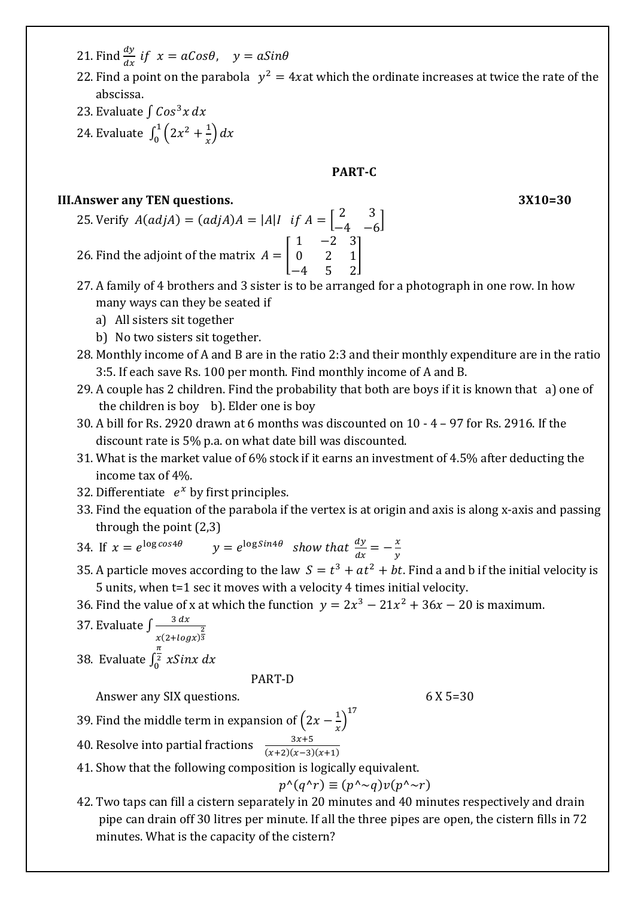- 21. Find  $\frac{dy}{dx}$  if  $x = aCos\theta$ ,  $y = aSin\theta$
- 22. Find a point on the parabola  $y^2 = 4x$  at which the ordinate increases at twice the rate of the abscissa.
- 23. Evaluate  $\int$  Cos<sup>3</sup>x dx
- 24. Evaluate  $\int_0^1 (2x^2 + \frac{1}{x})$  $\int_{0}^{1} (2x^2 + \frac{1}{x}) dx$

### **PART-C**

## **III. Answer any TEN questions.**

$$
3X10=30
$$

- 25. Verify  $A(adjA) = (adjA)A = |A|I$  if  $A = \begin{bmatrix} 2 & 3 \\ 1 & 2 \end{bmatrix}$  $\begin{bmatrix} 2 & 3 \\ -4 & -6 \end{bmatrix}$ 26. Find the adjoint of the matrix  $A = |$ 1 −2 3 0 2 1 −4 5 2 ]
- 27. A family of 4 brothers and 3 sister is to be arranged for a photograph in one row. In how many ways can they be seated if
	- a) All sisters sit together
	- b) No two sisters sit together.
- 28. Monthly income of A and B are in the ratio 2:3 and their monthly expenditure are in the ratio 3:5. If each save Rs. 100 per month. Find monthly income of A and B.
- 29. A couple has 2 children. Find the probability that both are boys if it is known that a) one of the children is boy b). Elder one is boy
- 30. A bill for Rs. 2920 drawn at 6 months was discounted on 10 4 97 for Rs. 2916. If the discount rate is 5% p.a. on what date bill was discounted.
- 31. What is the market value of 6% stock if it earns an investment of 4.5% after deducting the income tax of 4%.
- 32. Differentiate  $e^x$  by first principles.
- 33. Find the equation of the parabola if the vertex is at origin and axis is along x-axis and passing through the point (2,3)
- 34. If  $x = e^{\log \cos 4\theta}$   $y = e^{\log \sin 4\theta}$  show that  $\frac{dy}{dx} = -\frac{x}{y}$  $\mathcal{Y}$
- 35. A particle moves according to the law  $S = t^3 + at^2 + bt$ . Find a and b if the initial velocity is 5 units, when t=1 sec it moves with a velocity 4 times initial velocity.
- 36. Find the value of x at which the function  $y = 2x^3 21x^2 + 36x 20$  is maximum.
- 37. Evaluate  $\int \frac{3 dx}{2}$  $x(2+log x)^{\frac{2}{3}}$ π
- 38. Evaluate  $\int_0^2 xSinx dx$  $\frac{2}{0}$

#### PART-D

Answer any SIX questions. 6 X 5=30

- 39. Find the middle term in expansion of  $\left(2x \frac{1}{x}\right)$  $\left(\frac{1}{x}\right)^{17}$
- 40. Resolve into partial fractions  $\frac{3x+5}{(x+2)(x-3)(x+1)}$
- 41. Show that the following composition is logically equivalent.

$$
p^{\wedge}(q^{\wedge}r) \equiv (p^{\wedge} \sim q)v(p^{\wedge} \sim r)
$$

42. Two taps can fill a cistern separately in 20 minutes and 40 minutes respectively and drain pipe can drain off 30 litres per minute. If all the three pipes are open, the cistern fills in 72 minutes. What is the capacity of the cistern?